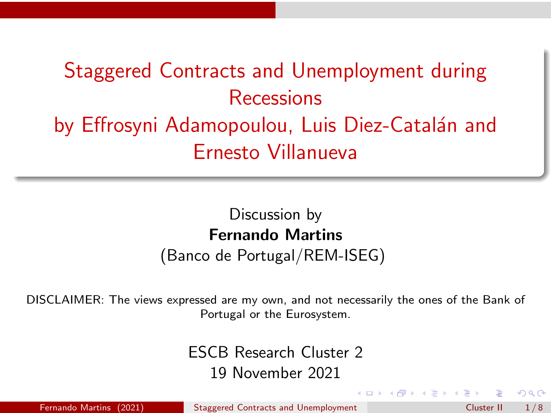# <span id="page-0-0"></span>Staggered Contracts and Unemployment during Recessions by Effrosyni Adamopoulou, Luis Diez-Catalán and Ernesto Villanueva

# Discussion by Fernando Martins

(Banco de Portugal/REM-ISEG)

DISCLAIMER: The views expressed are my own, and not necessarily the ones of the Bank of Portugal or the Eurosystem.

> ESCB Research Cluster 2 19 November 2021

Fernando Martins (2021) [Staggered Contracts and Unemployment](#page-7-0) Cluster II 1/8

 $\Omega$ 

**←ロ ▶ → 伊 ▶ → ヨ ▶ → ヨ ▶**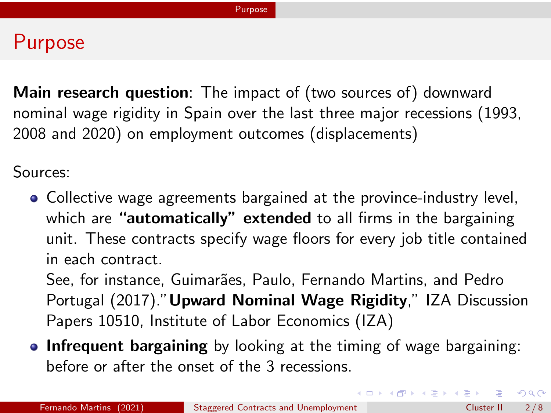#### <span id="page-1-0"></span>Purpose

Main research question: The impact of (two sources of) downward nominal wage rigidity in Spain over the last three major recessions (1993, 2008 and 2020) on employment outcomes (displacements)

Sources:

• Collective wage agreements bargained at the province-industry level, which are "**automatically"** extended to all firms in the bargaining unit. These contracts specify wage floors for every job title contained in each contract.

See, for instance, Guimarães, Paulo, Fernando Martins, and Pedro Portugal (2017)."Upward Nominal Wage Rigidity," IZA Discussion Papers 10510, Institute of Labor Economics (IZA)

**Infrequent bargaining** by looking at the timing of wage bargaining: before or after the onset of the 3 recessions.

 $2Q$ 

**←ロ ▶ ィ伊 ▶ ィミ ▶ ィヨ ▶**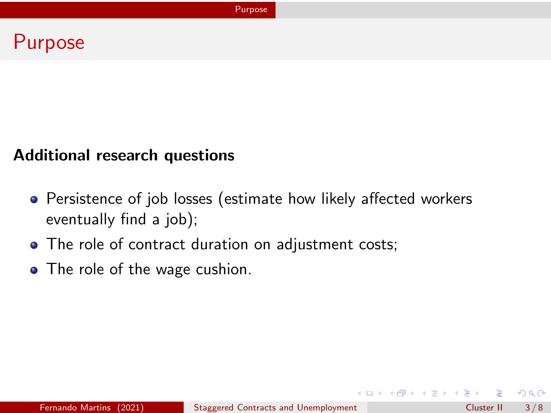#### Purpose

#### Additional research questions

- Persistence of job losses (estimate how likely affected workers eventually find a job);
- The role of contract duration on adjustment costs;
- The role of the wage cushion.

 $2Q$ 

メロトメ 御 トメ 差 トメ 差 ト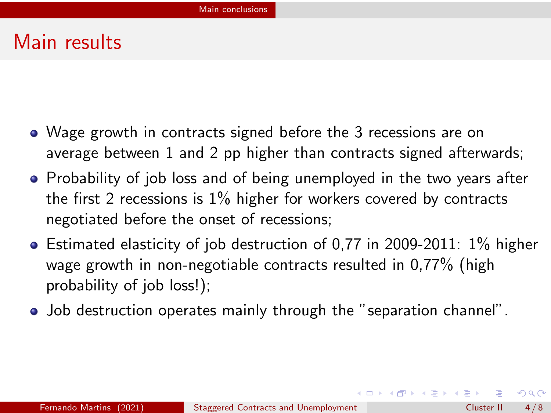### <span id="page-3-0"></span>Main results

- Wage growth in contracts signed before the 3 recessions are on average between 1 and 2 pp higher than contracts signed afterwards;
- Probability of job loss and of being unemployed in the two years after the first 2 recessions is 1% higher for workers covered by contracts negotiated before the onset of recessions;
- $\bullet$  Estimated elasticity of job destruction of 0.77 in 2009-2011: 1% higher wage growth in non-negotiable contracts resulted in 0,77% (high probability of job loss!);
- Job destruction operates mainly through the "separation channel".

 $2Q$ 

 $A \equiv \mathbf{1} + \mathbf{1} \oplus \mathbf{1} + \mathbf{1} \oplus \mathbf{1} + \mathbf{1} \oplus \mathbf{1} + \cdots \oplus \mathbf{1}$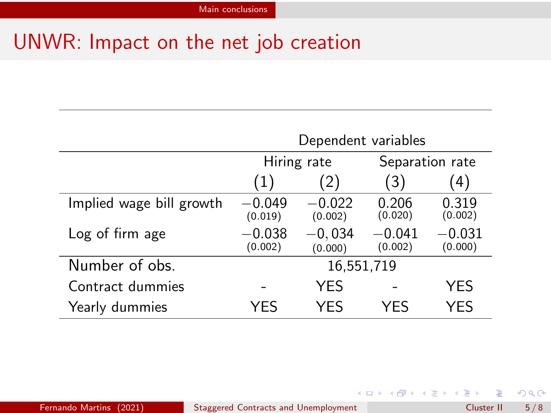## UNWR: Impact on the net job creation

|                          | Dependent variables |                     |                     |                     |
|--------------------------|---------------------|---------------------|---------------------|---------------------|
|                          | Hiring rate         |                     | Separation rate     |                     |
|                          | (1)                 | (2)                 | 3)                  | 4)                  |
| Implied wage bill growth | $-0.049$<br>(0.019) | $-0.022$<br>(0.002) | 0.206<br>(0.020)    | 0.319<br>(0.002)    |
| Log of firm age          | $-0.038$<br>(0.002) | $-0.034$<br>(0.000) | $-0.041$<br>(0.002) | $-0.031$<br>(0.000) |
| Number of obs.           | 16,551,719          |                     |                     |                     |
| Contract dummies         |                     | YES                 |                     | YES                 |
| Yearly dummies           | YFS                 | YFS                 | YFS                 | YFS                 |

 $299$ 

メロトメ 御 トメ 差 トメ 差 ト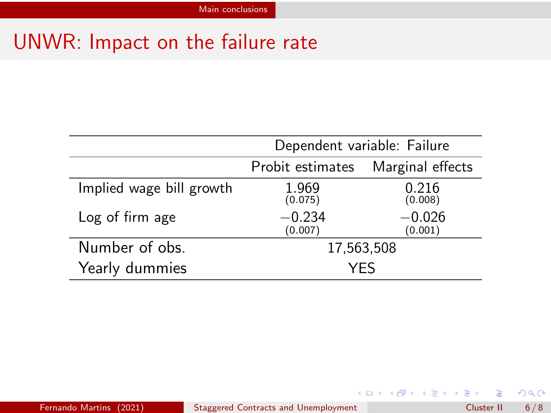## UNWR: Impact on the failure rate

|                          | Dependent variable: Failure |                     |  |
|--------------------------|-----------------------------|---------------------|--|
|                          | Probit estimates            | Marginal effects    |  |
| Implied wage bill growth | 1.969<br>(0.075)            | 0.216<br>(0.008)    |  |
| Log of firm age          | $-0.234$<br>(0.007)         | $-0.026$<br>(0.001) |  |
| Number of obs.           | 17,563,508                  |                     |  |
| Yearly dummies           | YFS                         |                     |  |

 $299$ 

イロト イ団 トイミト イミト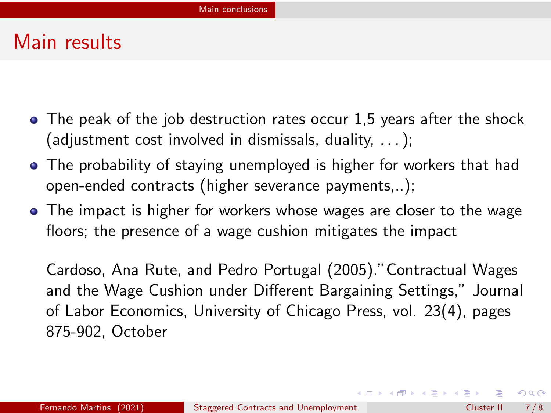#### Main results

- $\bullet$  The peak of the job destruction rates occur 1,5 years after the shock (adjustment cost involved in dismissals, duality, . . . );
- The probability of staying unemployed is higher for workers that had open-ended contracts (higher severance payments,..);
- The impact is higher for workers whose wages are closer to the wage floors; the presence of a wage cushion mitigates the impact

Cardoso, Ana Rute, and Pedro Portugal (2005)."Contractual Wages and the Wage Cushion under Different Bargaining Settings," Journal of Labor Economics, University of Chicago Press, vol. 23(4), pages 875-902, October

 $QQ$ 

 $A \equiv \mathbf{1} + \mathbf{1} \oplus \mathbf{1} + \mathbf{1} \oplus \mathbf{1} + \mathbf{1} \oplus \mathbf{1} + \cdots \oplus \mathbf{1}$